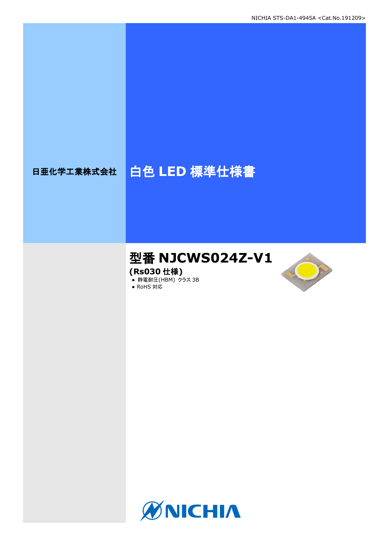# 日亜化学工業株式会社 | 白色 LED 標準仕様書

# 型番 **NJCWS024Z-V1**

**(Rs030** 仕様**)**

**● 静電耐圧(HBM) クラス 3B** 





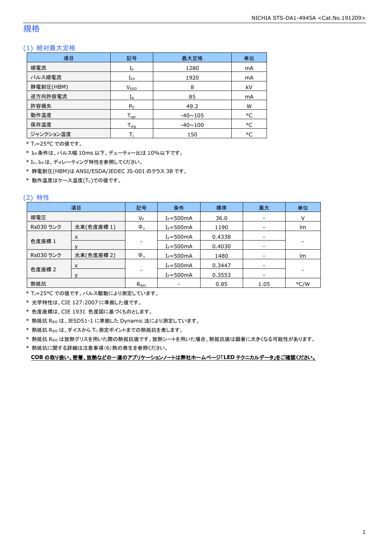## 規格

## (1) 絶対最大定格

| 項目        | 記号                  | 最大定格           | 単位 |
|-----------|---------------------|----------------|----|
| 順電流       | ${\rm I}_{{\rm F}}$ | 1280           | mA |
| パルス順電流    | $I_{\text{FP}}$     | 1920           | mA |
| 静電耐圧(HBM) | <b>VESD</b>         | 8              | kV |
| 逆方向許容電流   | $I_{R}$             | 85             | mA |
| 許容損失      | $P_D$               | 49.2           | W  |
| 動作温度      | $T_{\text{opr}}$    | $-40 \sim 105$ | °C |
| 保存温度      | $T_{\rm stq}$       | $-40 \sim 100$ | °C |
| ジャンクション温度 |                     | 150            | °C |

\* TJ=25°C での値です。

\* IFP条件は、パルス幅 10ms 以下、デューティー比は 10%以下です。

\* IF、IFPは、ディレーティング特性を参照してください。

\* 静電耐圧(HBM)は ANSI/ESDA/JEDEC JS-001 のクラス 3B です。

 $*$ 動作温度はケース温度(Tc)での値です。

## (2) 特性

|           | 項目         | 記号             | 条件             | 標準     | 最大                       | 単位                       |
|-----------|------------|----------------|----------------|--------|--------------------------|--------------------------|
| 順電圧       |            | VF             | $I_F = 500$ mA | 36.0   | $\overline{\phantom{a}}$ |                          |
| Rs030 ランク | 光束(色度座標1)  | $\Phi_{\rm v}$ | $I_F = 500$ mA | 1190   |                          | Im                       |
|           | X          |                | $I_F = 500mA$  | 0.4338 | $\overline{\phantom{a}}$ |                          |
| 色度座標 1    |            |                | $I_F = 500mA$  | 0.4030 | -                        | $\overline{\phantom{a}}$ |
| Rs030 ランク | 光束(色度座標 2) | $\Phi_{v}$     | $I_F = 500$ mA | 1480   | $\overline{\phantom{a}}$ | Im                       |
| 色度座標 2    | X          |                | $I_F = 500mA$  | 0.3447 | $\overline{\phantom{a}}$ |                          |
|           |            |                | $I_F = 500$ mA | 0.3553 |                          |                          |
| 熱抵抗       |            | $R_{\theta$ JC |                | 0.85   | 1.05                     | °C/W                     |

\* TJ=25°C での値です。パルス駆動により測定しています。

\* 光学特性は、CIE 127:2007 に準拠した値です。

\* 色度座標は、CIE 1931 色度図に基づくものとします。

\* 熱抵抗 RθJCは、JESD51-1 に準拠した Dynamic 法により測定しています。

 $*$  熱抵抗  $R_{\theta JC}$ は、ダイスから Tc 測定ポイントまでの熱抵抗を表します。

\* 熱抵抗 RθJCは放熱グリスを用いた際の熱抵抗値です。放熱シートを用いた場合、熱抵抗値は顕著に大きくなる可能性があります。

\* 熱抵抗に関する詳細は注意事項(6)熱の発生を参照ください。

**COB** の取り扱い、密着、放熱などの一連のアプリケーションノートは弊社ホームページ「**LED** テクニカルデータ」をご確認ください。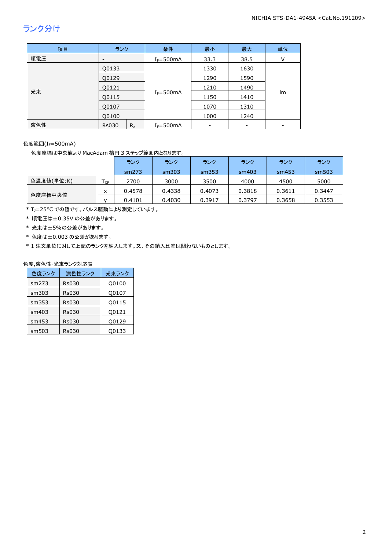## ランク分け

| 項目  | ランク                      | 条件            | 最小   | 最大   | 単位 |
|-----|--------------------------|---------------|------|------|----|
| 順電圧 | $\overline{\phantom{a}}$ | $I_F = 500mA$ | 33.3 | 38.5 | v  |
|     | Q0133                    |               | 1330 | 1630 |    |
|     | Q0129                    |               | 1290 | 1590 |    |
|     | Q0121                    |               | 1210 | 1490 |    |
| 光束  | Q0115                    | $I_F = 500mA$ | 1150 | 1410 | Im |
|     | Q0107                    |               | 1070 | 1310 |    |
|     | Q0100                    |               | 1000 | 1240 |    |
| 演色性 | $R_{a}$<br><b>Rs030</b>  | $I_F = 500mA$ |      |      |    |

色度範囲(IF=500mA)

色度座標は中央値より MacAdam 楕円 3 ステップ範囲内となります。

|            |      | ランク    | ランク    | ランク    | ランク    | ランク    | ランク    |
|------------|------|--------|--------|--------|--------|--------|--------|
|            |      | sm273  | sm303  | sm353  | sm403  | sm453  | sm503  |
| 色温度値(単位:K) | l cp | 2700   | 3000   | 3500   | 4000   | 4500   | 5000   |
|            | x    | 0.4578 | 0.4338 | 0.4073 | 0.3818 | 0.3611 | 0.3447 |
| 色度座標中央値    |      | 0.4101 | 0.4030 | 0.3917 | 0.3797 | 0.3658 | 0.3553 |

\* TJ=25°C での値です。パルス駆動により測定しています。

\* 順電圧は±0.35V の公差があります。

- \* 光束は±5%の公差があります。
- \* 色度は±0.003 の公差があります。

\* 1 注文単位に対して上記のランクを納入します。又、その納入比率は問わないものとします。

## 色度,演色性-光束ランク対応表

| 色度ランク | 演色性ランク       | 光束ランク |
|-------|--------------|-------|
| sm273 | <b>Rs030</b> | Q0100 |
| sm303 | <b>Rs030</b> | Q0107 |
| sm353 | <b>Rs030</b> | Q0115 |
| sm403 | <b>Rs030</b> | Q0121 |
| sm453 | <b>Rs030</b> | Q0129 |
| sm503 | Rs030        | 00133 |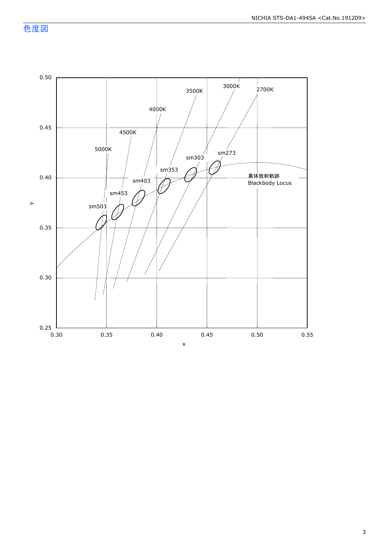色度図

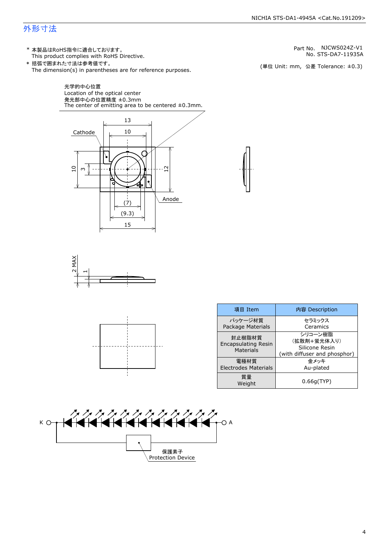## 外形寸法

(単位 Unit: mm) This product complies with RoHS Directive. \* 本製品はRoHS指令に適合しております。 (単位 Unit: mm, 公差 Tolerance: ±0.3) STS-DA7-11935A NJCWS024Z-V1 The dimension(s) in parentheses are for reference purposes. \* 括弧で囲まれた寸法は参考値です。 No. Part No.







| 項目 Item                                           | 内容 Description                                                           |
|---------------------------------------------------|--------------------------------------------------------------------------|
| パッケージ材質<br>Package Materials                      | セラミックス<br>Ceramics                                                       |
| 封止樹脂材質<br><b>Encapsulating Resin</b><br>Materials | シリコーン樹脂<br>(拡散剤+蛍光体入り)<br>Silicone Resin<br>(with diffuser and phosphor) |
| 雷極材質<br><b>Electrodes Materials</b>               | 金メッキ<br>Au-plated                                                        |
| 質量<br>Weight                                      | 0.66q(TYP)                                                               |



4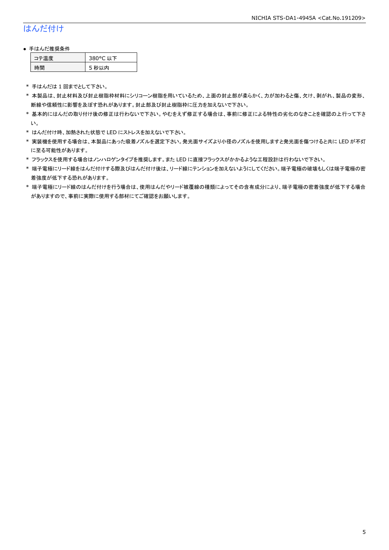## はんだ付け

#### ● 手はんだ推奨条件

| ョー | 80°C 以下  |
|----|----------|
| 45 | 秒以内<br>ר |

\* 手はんだは 1 回までとして下さい。

- \* 本製品は、封止材料及び封止樹脂枠材料にシリコーン樹脂を用いているため、上面の封止部が柔らかく、力が加わると傷、欠け、剥がれ、製品の変形、 断線や信頼性に影響を及ぼす恐れがあります。封止部及び封止樹脂枠に圧力を加えないで下さい。
- \* 基本的にはんだの取り付け後の修正は行わないで下さい。やむをえず修正する場合は、事前に修正による特性の劣化のなきことを確認の上行って下さ い。
- \* はんだ付け時、加熱された状態で LED にストレスを加えないで下さい。
- \* 実装機を使用する場合は、本製品にあった吸着ノズルを選定下さい。発光面サイズより小径のノズルを使用しますと発光面を傷つけると共に LED が不灯 に至る可能性があります。
- \* フラックスを使用する場合はノンハロゲンタイプを推奨します。また LED に直接フラックスがかかるような工程設計は行わないで下さい。
- \* 端子電極にリード線をはんだ付けする際及びはんだ付け後は、リード線にテンションを加えないようにしてください。端子電極の破壊もしくは端子電極の密 着強度が低下する恐れがあります。
- \* 端子電極にリード線のはんだ付けを行う場合は、使用はんだやリード被覆線の種類によってその含有成分により、端子電極の密着強度が低下する場合 がありますので、事前に実際に使用する部材にてご確認をお願いします。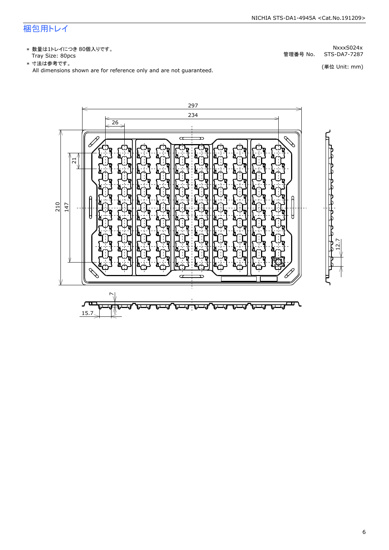## 梱包用トレイ

\* 数量は1トレイにつき 80個入りです。<br>Tray Size: 80pcs

\* 数量は1トレイにつき 80個入りです。<br>Tray Size: 80pcs<br>\* 寸法は参考です。<br>All dimensions shown are for reference only and are not guaranteed. \* づ法は参考です。 (単位 Unit: mm)

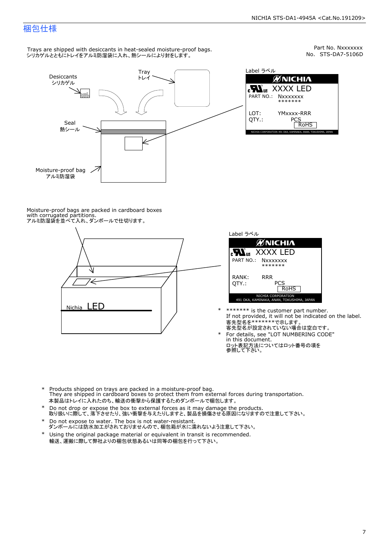## 梱包仕様

Trays are shipped with desiccants in heat-sealed moisture-proof bags. シリカゲルとともにトレイをアルミ防湿袋に入れ、熱シールにより封をします。

Moisture-proof bag Seal Desiccants Tray 熱シール ンリカゲル アルミ防湿袋

Part No. Nxxxxxxx<br>No. STS-DA7-5106D



Moisture-proof bags are packed in cardboard boxes with corrugated partitions. アルミ防湿袋を並べて入れ、ダンボールで仕切ります。





- \* \*\*\*\*\*\*\* is the customer part number.<br>If not provided, it will not be indicated on the label.<br>客先型名が設定されていない場合は空白です。
- For details, see "LOT NUMBERING CODE"<br>in this document.<br>ロット表記方法についてはロット番号の項を<br>参照して下さい。
- \* Products shipped on trays are packed in a moisture-proof bag.<br>They are shipped in cardboard boxes to protect them from external forces during transportation.<br>本製品はトレイに入れたのち、輸送の衝撃から保護するためダンボールで梱包します。<br>\* Do not drop or exp 本製品はトレイに入れたのち、輸送の衝撃から保護するためダンボールで梱包します。
- Do not drop or expose the box to external forces as it may damage the products. \*
- 取り扱いに際して、落下させたり、強い衝撃を与えたりしますと、製品を損傷させる原因になりますので注意して下さい。 Do not expose to water. The box is not water-resistant. \*
- ダンボールには防水加工がされておりませんので、梱包箱が水に濡れないよう注意して下さい。 \*
- 輸送、運搬に際して弊社よりの梱包状態あるいは同等の梱包を行って下さい。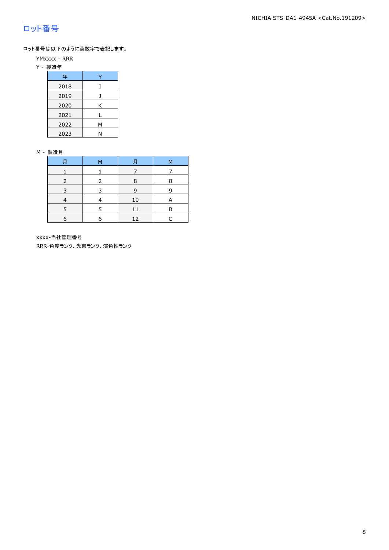## ロット番号

ロット番号は以下のように英数字で表記します。

- YMxxxx RRR
- Y 製造年

| 年    |   |  |  |  |
|------|---|--|--|--|
| 2018 | I |  |  |  |
| 2019 |   |  |  |  |
| 2020 | Κ |  |  |  |
| 2021 |   |  |  |  |
| 2022 | М |  |  |  |
| 2023 | N |  |  |  |

#### M - 製造月

| 月 | м | 月  | М |
|---|---|----|---|
|   |   |    |   |
|   |   | 8  | 8 |
|   |   | 9  | q |
|   |   | 10 | A |
|   |   |    | F |
| 6 | F | 12 |   |

xxxx-当社管理番号

RRR-色度ランク、光束ランク、演色性ランク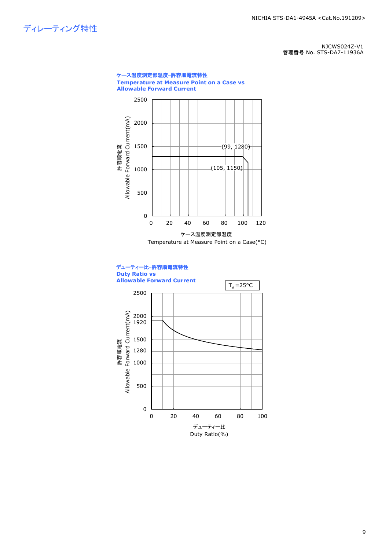ディレーティング特性

NJCWS024Z-V1 管理番号 No. STS-DA7-11936A

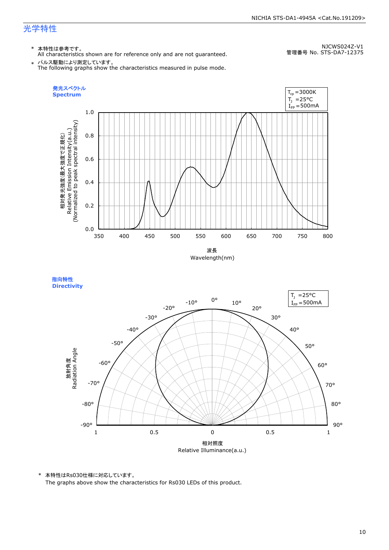#### NICHIA STS-DA1-4945A <Cat.No.191209>

## 光学特性

## \* 本特性は参考です。

All characteristics shown are for reference only and are not guaranteed.

NJCWS024Z-V1 管理番号 No. STS-DA7-12375

 $\;\ast\;$  パルス駆動により測定しています。<br>The following graphs show the characteristics measured in pulse mode.



指向特性 **Directivity** 



\* 本特性はRs030仕様に対応しています。

The graphs above show the characteristics for Rs030 LEDs of this product.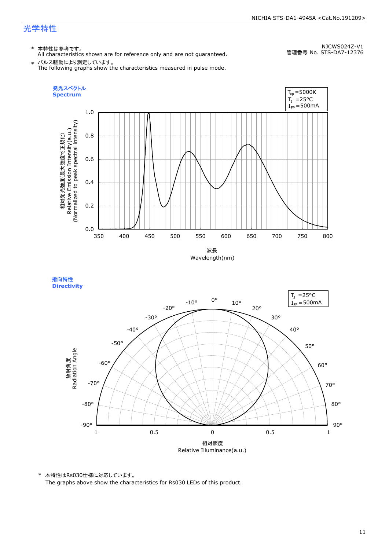#### NICHIA STS-DA1-4945A <Cat.No.191209>

## 光学特性

## \* 本特性は参考です。

All characteristics shown are for reference only and are not guaranteed.

NJCWS024Z-V1 管理番号 No. STS-DA7-12376

 $\;\ast\;$  パルス駆動により測定しています。<br>The following graphs show the characteristics measured in pulse mode.



指向特性 **Directivity** 



\* 本特性はRs030仕様に対応しています。

The graphs above show the characteristics for Rs030 LEDs of this product.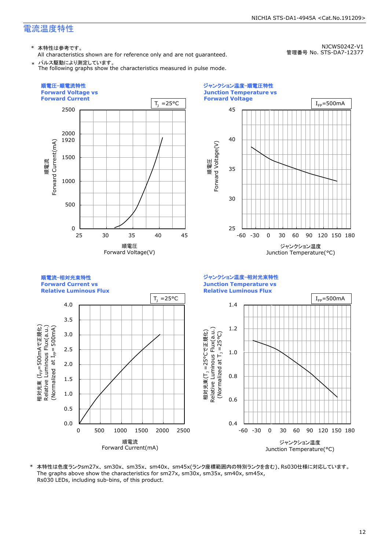\* 本特性は参考です。

All characteristics shown are for reference only and are not guaranteed.

NJCWS024Z-V1 管理番号 No. STS-DA7-12377

NICHIA STS-DA1-4945A <Cat.No.191209>

\* パルス駆動により測定しています。 The following graphs show the characteristics measured in pulse mode.



25 30 35 40 45 -60 -30 0 30 60 90 120 150 180 **Forward Voltage** 順電圧<br>Forward Voltage(V) Forward Voltage(V) ジャンクション温度 Junction Temperature(°C)  $I_{FP}=500mA$ 

順電流-相対光束特性 **Forward Current vs Relative Luminous Flux** ジャンクション温度-相対光束特性 **Junction Temperature vs Relative Luminous Flux**



\* 本特性は色度ランクsm27x、sm30x、sm35x、sm40x、sm45x(ランク座標範囲内の特別ランクを含む)、Rs030仕様に対応しています。 The graphs above show the characteristics for sm27x, sm30x, sm35x, sm40x, sm45x, Rs030 LEDs, including sub-bins, of this product.

ジャンクション温度-順電圧特性 **Junction Temperature vs**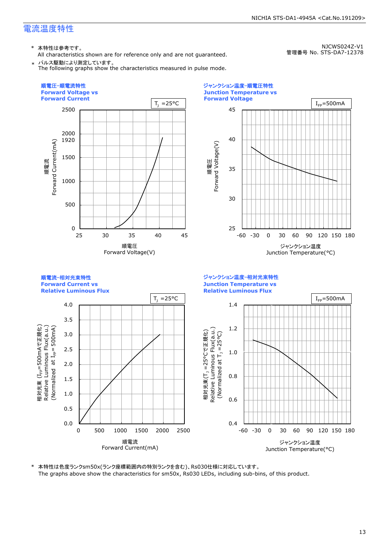\* 本特性は参考です。

All characteristics shown are for reference only and are not guaranteed.

NJCWS024Z-V1 管理番号 No. STS-DA7-12378

\* パルス駆動により測定しています。 The following graphs show the characteristics measured in pulse mode.

0 500 1000 1500 2000 2500 25 30 35 40 45 1920 順電流<br>-orward Current(mA) Forward Current(mA) 順電圧-順電流特性 **Forward Voltage vs Forward Current** 順電圧 Forward Voltage(V)  $T_1 = 25$ °C



順電流-相対光束特性 **Forward Current vs Relative Luminous Flux** ジャンクション温度-相対光束特性 **Junction Temperature vs Relative Luminous Flux**

ジャンクション温度-順電圧特性



\* 本特性は色度ランクsm50x(ランク座標範囲内の特別ランクを含む)、Rs030仕様に対応しています。 The graphs above show the characteristics for sm50x, Rs030 LEDs, including sub-bins, of this product.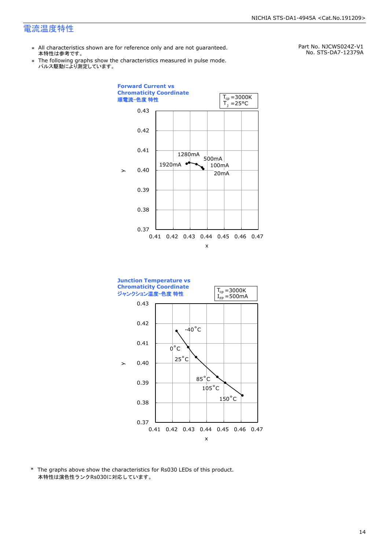- \* All characteristics shown are for reference only and are not guaranteed. 本特性は参考です。
- \* Ine following graphs show th<br>、パルス駆動により測定しています。 The following graphs show the characteristics measured in pulse mode.

Part No. NJCWS024Z-V1 No. STS-DA7-12379A





\* The graphs above show the characteristics for Rs030 LEDs of this product. 本特性は演色性ランクRs030に対応しています。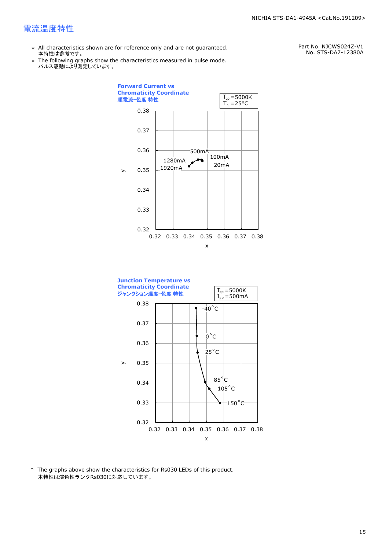- \* All characteristics shown are for reference only and are not guaranteed. 本特性は参考です。
- \* Ine following graphs show th<br>、パルス駆動により測定しています。 The following graphs show the characteristics measured in pulse mode.

Part No. NJCWS024Z-V1 No. STS-DA7-12380A





\* The graphs above show the characteristics for Rs030 LEDs of this product. 本特性は演色性ランクRs030に対応しています。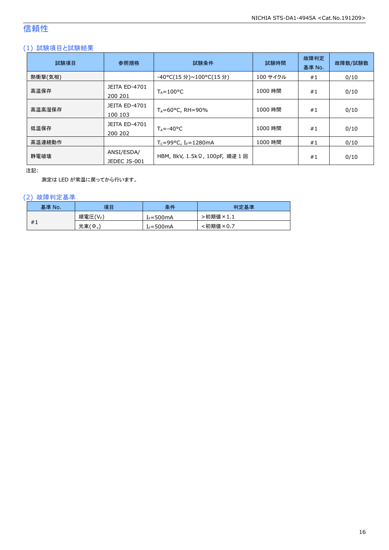## 信頼性

## (1) 試験項目と試験結果

| 試験項目    | 参照規格                            | 試験条件                                         | 試験時間     | 故障判定<br>基準 No. | 故障数/試験数 |
|---------|---------------------------------|----------------------------------------------|----------|----------------|---------|
| 熱衝撃(気相) |                                 | -40°C(15 分)~100°C(15 分)                      | 100 サイクル | #1             | 0/10    |
| 高温保存    | <b>JEITA ED-4701</b><br>200 201 | $T_A = 100^{\circ}C$                         | 1000 時間  | #1             | 0/10    |
| 高温高湿保存  | <b>JEITA ED-4701</b><br>100 103 | $T_A = 60^{\circ}$ C, RH = 90%               | 1000 時間  | #1             | 0/10    |
| 低温保存    | JEITA ED-4701<br>200 202        | $T_{\text{A}} = -40^{\circ}C$                | 1000 時間  | #1             | 0/10    |
| 高温連続動作  |                                 | $T_c = 99^{\circ}C$ , I <sub>F</sub> =1280mA | 1000 時間  | #1             | 0/10    |
| 静電破壊    | ANSI/ESDA/<br>JEDEC JS-001      | HBM, 8kV, 1.5kΩ, 100pF, 順逆 1回                |          | #1             | 0/10    |

注記:

測定は LED が常温に戻ってから行います。

## (2) 故障判定基準

| 基準 No. | 項目      | 条件                    | 判定基準     |
|--------|---------|-----------------------|----------|
|        | 順電圧(VF) | [ <sub>F</sub> =500mA | ·初期値×1.1 |
| #1     | 光束(Ф.)  | $I_F = 500mA$         | :初期値×0.7 |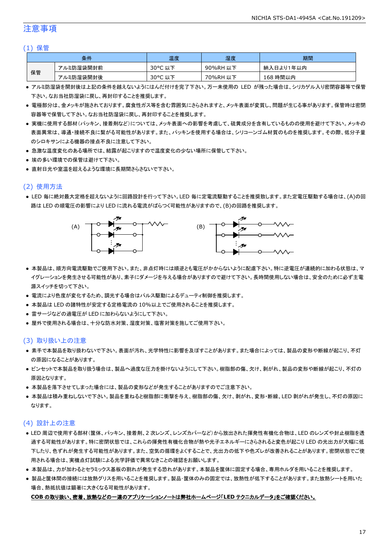## 注意事項

#### (1) 保管

| 条件 |           | 温度      | 湿度       | 期間        |
|----|-----------|---------|----------|-----------|
|    | アルミ防湿袋開封前 | 30°C 以下 | 90%RH 以下 | 納入日より1年以内 |
| 保管 | アルミ防湿袋開封後 | 30°C 以下 | 70%RH 以下 | 168 時間以内  |

- アルミ防湿袋を開封後は上記の条件を越えないようにはんだ付けを完了下さい。万一未使用の LED が残った場合は、シリカゲル入り密閉容器等で保管 下さい。なお当社防湿袋に戻し、再封印することを推奨します。
- 電極部分は、金メッキが施されております。腐食性ガス等を含む雰囲気にさらされますと、メッキ表面が変質し、問題が生じる事があります。保管時は密閉 容器等で保管して下さい。なお当社防湿袋に戻し、再封印することを推奨します。
- 実機に使用する部材(パッキン、接着剤など)については、メッキ表面への影響を考慮して、硫黄成分を含有しているものの使用を避けて下さい。メッキの 表面異常は、導通・接続不良に繋がる可能性があります。また、パッキンを使用する場合は、シリコーンゴム材質のものを推奨します。その際、低分子量 のシロキサンによる機器の接点不良に注意して下さい。
- 急激な温度変化のある場所では、結露が起こりますので温度変化の少ない場所に保管して下さい。
- 埃の多い環境での保管は避けて下さい。
- 直射日光や室温を超えるような環境に長期間さらさないで下さい。

## (2) 使用方法

● LED 毎に絶対最大定格を超えないように回路設計を行って下さい。LED 毎に定電流駆動することを推奨致します。また定電圧駆動する場合は、(A)の回 路は LED の順電圧の影響により LED に流れる電流がばらつく可能性がありますので、(B)の回路を推奨します。



- 本製品は、順方向電流駆動でご使用下さい。また、非点灯時には順逆とも電圧がかからないように配慮下さい。特に逆電圧が連続的に加わる状態は、マ イグレーションを発生させる可能性があり、素子にダメージを与える場合がありますので避けて下さい。長時間使用しない場合は、安全のために必ず主電 源スイッチを切って下さい。
- 電流により色度が変化するため、調光する場合はパルス駆動によるデューティ制御を推奨します。
- 本製品は LED の諸特性が安定する定格電流の 10%以上でご使用されることを推奨します。
- 雷サージなどの過電圧が LED に加わらないようにして下さい。
- 屋外で使用される場合は、十分な防水対策、湿度対策、塩害対策を施してご使用下さい。

### (3) 取り扱い上の注意

- 素手で本製品を取り扱わないで下さい。表面が汚れ、光学特性に影響を及ぼすことがあります。また場合によっては、製品の変形や断線が起こり、不灯 の原因になることがあります。
- ピンセットで本製品を取り扱う場合は、製品へ過度な圧力を掛けないようにして下さい。樹脂部の傷、欠け、剥がれ、製品の変形や断線が起こり、不灯の 原因となります。
- 本製品を落下させてしまった場合には、製品の変形などが発生することがありますのでご注意下さい。
- 本製品は積み重ねしないで下さい。製品を重ねると樹脂部に衝撃を与え、樹脂部の傷、欠け、剥がれ、変形・断線、LED 剥がれが発生し、不灯の原因に なります。

### (4) 設計上の注意

- LED 周辺で使用する部材(筐体、パッキン、接着剤、2 次レンズ、レンズカバーなど)から放出された揮発性有機化合物は、LED のレンズや封止樹脂を透 過する可能性があります。特に密閉状態では、これらの揮発性有機化合物が熱や光子エネルギーにさらされると変色が起こり LED の光出力が大幅に低 下したり、色ずれが発生する可能性があります。また、空気の循環をよくすることで、光出力の低下や色ズレが改善されることがあります。密閉状態でご使 用される場合は、実機点灯試験による光学評価で異常なきことの確認をお願いします。
- 本製品は、カが加わるとセラミックス基板の割れが発生する恐れがあります。本製品を筐体に固定する場合、専用ホルダを用いることを推奨します。
- 製品と筐体間の接続には放熱グリスを用いることを推奨します。製品・筐体のみの固定では、放熱性が低下することがあります。また放熱シートを用いた 場合、熱抵抗値は顕著に大きくなる可能性があります。

#### **COB** の取り扱い、密着、放熱などの一連のアプリケーションノートは弊社ホームページ「**LED** テクニカルデータ」をご確認ください。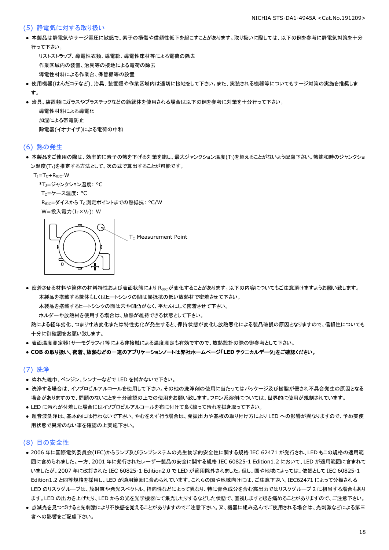#### (5) 静電気に対する取り扱い

● 本製品は静電気やサージ電圧に敏感で、素子の損傷や信頼性低下を起こすことがあります。取り扱いに際しては、以下の例を参考に静電気対策を十分 行って下さい。

 リストストラップ、導電性衣類、導電靴、導電性床材等による電荷の除去 作業区域内の装置、治具等の接地による電荷の除去 導電性材料による作業台、保管棚等の設置

- 使用機器(はんだコテなど)、治具、装置類や作業区域内は適切に接地をして下さい。また、実装される機器等についてもサージ対策の実施を推奨しま す。
- 治具、装置類にガラスやプラスチックなどの絶縁体を使用される場合は以下の例を参考に対策を十分行って下さい。

 導電性材料による導電化 加湿による帯電防止 除電器(イオナイザ)による電荷の中和

#### (6) 熱の発生

● 本製品をご使用の際は、効率的に素子の熱を下げる対策を施し、最大ジャンクション温度(T」)を超えることがないよう配慮下さい。熱飽和時のジャンクショ ン温度(T」)を推定する方法として、次の式で算出することが可能です。

 $T_J = T_C + R_{\theta JC} \cdot W$ 

\*T<sub>1</sub>=ジャンクション温度: °C

Tc=ケース温度: °C

R<sub>0JC</sub>=ダイスから T<sub>C</sub> 測定ポイントまでの熱抵抗: °C/W

W=投入電力(I<sub>F</sub>×V<sub>F</sub>): W



● 密着させる材料や筐体の材料特性および表面状態により Reicが変化することがあります。以下の内容についてもご注意頂けますようお願い致します。 本製品を搭載する筐体もしくはヒートシンクの間は熱抵抗の低い放熱材で密着させて下さい。

本製品を搭載するヒートシンクの面は穴や凹凸がなく、平たんにして密着させて下さい。

ホルダーや放熱材を使用する場合は、放熱が維持できる状態として下さい。

 熱による経年劣化、つまり寸法変化または特性劣化が発生すると、保持状態が変化し放熱悪化による製品破損の原因となりますので、信頼性についても 十分に御確認をお願い致します。

● 表面温度測定器(サーモグラフィ)等による非接触による温度測定も有効ですので、放熱設計の際の御参考として下さい。

#### ● **COB** の取り扱い、密着、放熱などの一連のアプリケーションノートは弊社ホームページ「**LED** テクニカルデータ」をご確認ください。

#### (7) 洗浄

- ぬれた雑巾、ベンジン、シンナーなどで LED を拭かないで下さい。
- 洗浄する場合は、イソプロピルアルコールを使用して下さい。その他の洗浄剤の使用に当たってはパッケージ及び樹脂が侵され不具合発生の原因となる 場合がありますので、問題のないことを十分確認の上での使用をお願い致します。フロン系溶剤については、世界的に使用が規制されています。
- LED に汚れが付着した場合にはイソプロピルアルコールを布に付けて良く絞って汚れを拭き取って下さい。
- 超音波洗浄は、基本的には行わないで下さい。やむをえず行う場合は、発振出力や基板の取り付け方により LED への影響が異なりますので、予め実使 用状態で異常のない事を確認の上実施下さい。

## (8) 目の安全性

- 2006 年に国際電気委員会(IEC)からランプ及びランプシステムの光生物学的安全性に関する規格 IEC 62471 が発行され、LED もこの規格の適用範 囲に含められました。一方、2001 年に発行されたレーザー製品の安全に関する規格 IEC 60825-1 Edition1.2 において、LED が適用範囲に含まれて いましたが、2007 年に改訂された IEC 60825-1 Edition2.0 で LED が適用除外されました。但し、国や地域によっては、依然として IEC 60825-1 Edition1.2 と同等規格を採用し、LED が適用範囲に含められています。これらの国や地域向けには、ご注意下さい。IEC62471 によって分類される LED のリスクグループは、放射束や発光スペクトル、指向性などによって異なり、特に青色成分を含む高出力ではリスクグループ 2 に相当する場合もあり ます。LED の出力を上げたり、LED からの光を光学機器にて集光したりするなどした状態で、直視しますと眼を痛めることがありますので、ご注意下さい。
- 点滅光を見つづけると光刺激により不快感を覚えることがありますのでご注意下さい。又、機器に組み込んでご使用される場合は、光刺激などによる第三 者への影響をご配慮下さい。